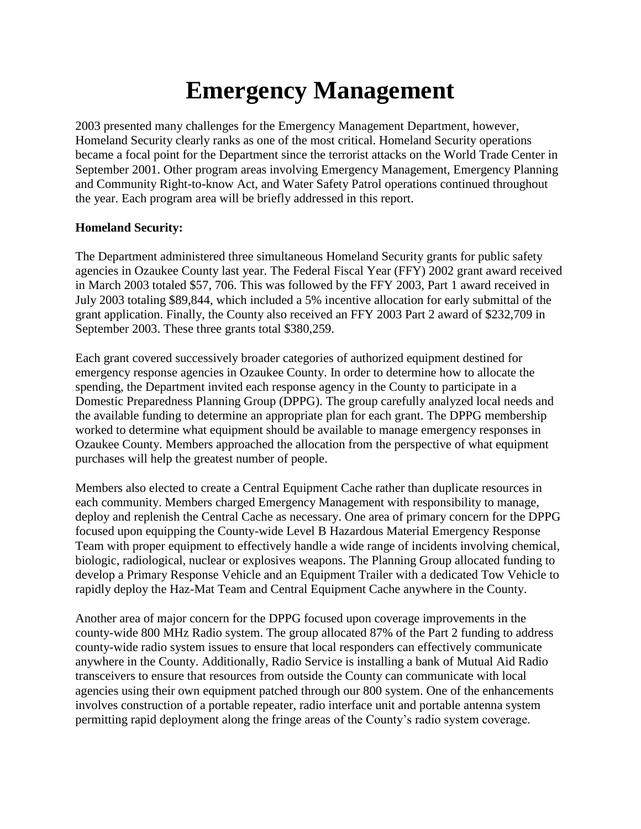# **Emergency Management**

2003 presented many challenges for the Emergency Management Department, however, Homeland Security clearly ranks as one of the most critical. Homeland Security operations became a focal point for the Department since the terrorist attacks on the World Trade Center in September 2001. Other program areas involving Emergency Management, Emergency Planning and Community Right-to-know Act, and Water Safety Patrol operations continued throughout the year. Each program area will be briefly addressed in this report.

# **Homeland Security:**

The Department administered three simultaneous Homeland Security grants for public safety agencies in Ozaukee County last year. The Federal Fiscal Year (FFY) 2002 grant award received in March 2003 totaled \$57, 706. This was followed by the FFY 2003, Part 1 award received in July 2003 totaling \$89,844, which included a 5% incentive allocation for early submittal of the grant application. Finally, the County also received an FFY 2003 Part 2 award of \$232,709 in September 2003. These three grants total \$380,259.

Each grant covered successively broader categories of authorized equipment destined for emergency response agencies in Ozaukee County. In order to determine how to allocate the spending, the Department invited each response agency in the County to participate in a Domestic Preparedness Planning Group (DPPG). The group carefully analyzed local needs and the available funding to determine an appropriate plan for each grant. The DPPG membership worked to determine what equipment should be available to manage emergency responses in Ozaukee County. Members approached the allocation from the perspective of what equipment purchases will help the greatest number of people.

Members also elected to create a Central Equipment Cache rather than duplicate resources in each community. Members charged Emergency Management with responsibility to manage, deploy and replenish the Central Cache as necessary. One area of primary concern for the DPPG focused upon equipping the County-wide Level B Hazardous Material Emergency Response Team with proper equipment to effectively handle a wide range of incidents involving chemical, biologic, radiological, nuclear or explosives weapons. The Planning Group allocated funding to develop a Primary Response Vehicle and an Equipment Trailer with a dedicated Tow Vehicle to rapidly deploy the Haz-Mat Team and Central Equipment Cache anywhere in the County.

Another area of major concern for the DPPG focused upon coverage improvements in the county-wide 800 MHz Radio system. The group allocated 87% of the Part 2 funding to address county-wide radio system issues to ensure that local responders can effectively communicate anywhere in the County. Additionally, Radio Service is installing a bank of Mutual Aid Radio transceivers to ensure that resources from outside the County can communicate with local agencies using their own equipment patched through our 800 system. One of the enhancements involves construction of a portable repeater, radio interface unit and portable antenna system permitting rapid deployment along the fringe areas of the County's radio system coverage.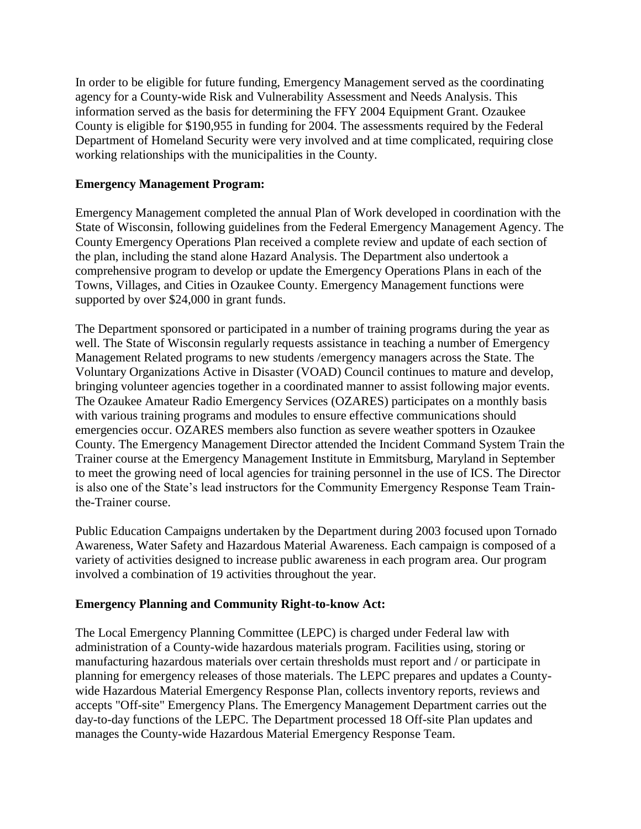In order to be eligible for future funding, Emergency Management served as the coordinating agency for a County-wide Risk and Vulnerability Assessment and Needs Analysis. This information served as the basis for determining the FFY 2004 Equipment Grant. Ozaukee County is eligible for \$190,955 in funding for 2004. The assessments required by the Federal Department of Homeland Security were very involved and at time complicated, requiring close working relationships with the municipalities in the County.

### **Emergency Management Program:**

Emergency Management completed the annual Plan of Work developed in coordination with the State of Wisconsin, following guidelines from the Federal Emergency Management Agency. The County Emergency Operations Plan received a complete review and update of each section of the plan, including the stand alone Hazard Analysis. The Department also undertook a comprehensive program to develop or update the Emergency Operations Plans in each of the Towns, Villages, and Cities in Ozaukee County. Emergency Management functions were supported by over \$24,000 in grant funds.

The Department sponsored or participated in a number of training programs during the year as well. The State of Wisconsin regularly requests assistance in teaching a number of Emergency Management Related programs to new students /emergency managers across the State. The Voluntary Organizations Active in Disaster (VOAD) Council continues to mature and develop, bringing volunteer agencies together in a coordinated manner to assist following major events. The Ozaukee Amateur Radio Emergency Services (OZARES) participates on a monthly basis with various training programs and modules to ensure effective communications should emergencies occur. OZARES members also function as severe weather spotters in Ozaukee County. The Emergency Management Director attended the Incident Command System Train the Trainer course at the Emergency Management Institute in Emmitsburg, Maryland in September to meet the growing need of local agencies for training personnel in the use of ICS. The Director is also one of the State's lead instructors for the Community Emergency Response Team Trainthe-Trainer course.

Public Education Campaigns undertaken by the Department during 2003 focused upon Tornado Awareness, Water Safety and Hazardous Material Awareness. Each campaign is composed of a variety of activities designed to increase public awareness in each program area. Our program involved a combination of 19 activities throughout the year.

# **Emergency Planning and Community Right-to-know Act:**

The Local Emergency Planning Committee (LEPC) is charged under Federal law with administration of a County-wide hazardous materials program. Facilities using, storing or manufacturing hazardous materials over certain thresholds must report and / or participate in planning for emergency releases of those materials. The LEPC prepares and updates a Countywide Hazardous Material Emergency Response Plan, collects inventory reports, reviews and accepts "Off-site" Emergency Plans. The Emergency Management Department carries out the day-to-day functions of the LEPC. The Department processed 18 Off-site Plan updates and manages the County-wide Hazardous Material Emergency Response Team.